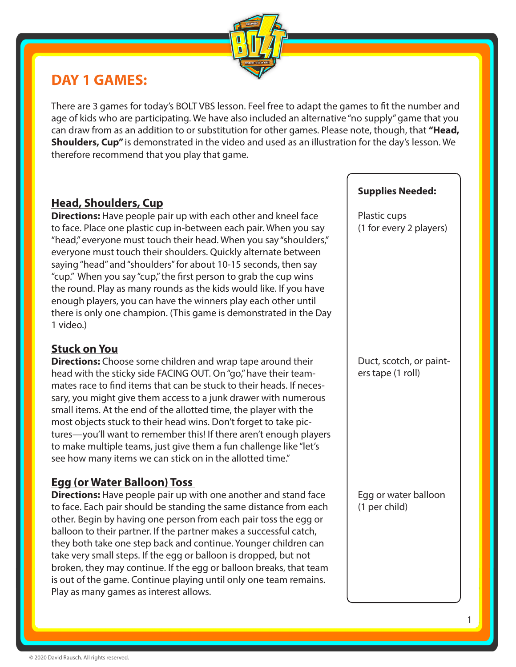

## **DAY 1 GAMES:**

There are 3 games for today's BOLT VBS lesson. Feel free to adapt the games to fit the number and age of kids who are participating. We have also included an alternative "no supply" game that you can draw from as an addition to or substitution for other games. Please note, though, that **"Head, Shoulders, Cup"** is demonstrated in the video and used as an illustration for the day's lesson. We therefore recommend that you play that game.

## **Head, Shoulders, Cup**

**Directions:** Have people pair up with each other and kneel face to face. Place one plastic cup in-between each pair. When you say "head," everyone must touch their head. When you say "shoulders," everyone must touch their shoulders. Quickly alternate between saying "head" and "shoulders" for about 10-15 seconds, then say "cup." When you say "cup," the first person to grab the cup wins the round. Play as many rounds as the kids would like. If you have enough players, you can have the winners play each other until there is only one champion. (This game is demonstrated in the Day 1 video.)

## **Stuck on You**

**Directions:** Choose some children and wrap tape around their head with the sticky side FACING OUT. On "go," have their teammates race to find items that can be stuck to their heads. If necessary, you might give them access to a junk drawer with numerous small items. At the end of the allotted time, the player with the most objects stuck to their head wins. Don't forget to take pictures—you'll want to remember this! If there aren't enough players to make multiple teams, just give them a fun challenge like "let's see how many items we can stick on in the allotted time."

## **Egg (or Water Balloon) Toss**

**Directions:** Have people pair up with one another and stand face to face. Each pair should be standing the same distance from each other. Begin by having one person from each pair toss the egg or balloon to their partner. If the partner makes a successful catch, they both take one step back and continue. Younger children can take very small steps. If the egg or balloon is dropped, but not broken, they may continue. If the egg or balloon breaks, that team is out of the game. Continue playing until only one team remains. Play as many games as interest allows.

#### **Supplies Needed:**

Plastic cups (1 for every 2 players)

Duct, scotch, or painters tape (1 roll)

Egg or water balloon (1 per child)